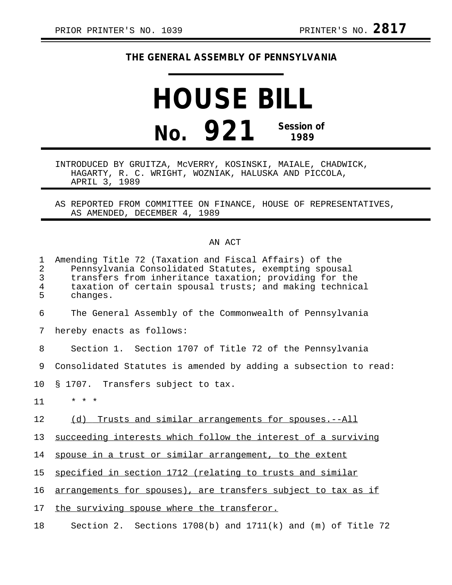## **THE GENERAL ASSEMBLY OF PENNSYLVANIA**

## **HOUSE BILL No. 921 Session of 1989**

INTRODUCED BY GRUITZA, McVERRY, KOSINSKI, MAIALE, CHADWICK, HAGARTY, R. C. WRIGHT, WOZNIAK, HALUSKA AND PICCOLA, APRIL 3, 1989

AS REPORTED FROM COMMITTEE ON FINANCE, HOUSE OF REPRESENTATIVES, AS AMENDED, DECEMBER 4, 1989

## AN ACT

| 1<br>2<br>3<br>4<br>5 | Amending Title 72 (Taxation and Fiscal Affairs) of the<br>Pennsylvania Consolidated Statutes, exempting spousal<br>transfers from inheritance taxation; providing for the<br>taxation of certain spousal trusts; and making technical<br>changes. |
|-----------------------|---------------------------------------------------------------------------------------------------------------------------------------------------------------------------------------------------------------------------------------------------|
| 6                     | The General Assembly of the Commonwealth of Pennsylvania                                                                                                                                                                                          |
| 7                     | hereby enacts as follows:                                                                                                                                                                                                                         |
| 8                     | Section 1. Section 1707 of Title 72 of the Pennsylvania                                                                                                                                                                                           |
| 9                     | Consolidated Statutes is amended by adding a subsection to read:                                                                                                                                                                                  |
| 10                    | § 1707. Transfers subject to tax.                                                                                                                                                                                                                 |
| 11                    | $* * *$                                                                                                                                                                                                                                           |
| 12                    | Trusts and similar arrangements for spouses.--All<br>(d)                                                                                                                                                                                          |
| 13                    | succeeding interests which follow the interest of a surviving                                                                                                                                                                                     |
| 14                    | spouse in a trust or similar arrangement, to the extent                                                                                                                                                                                           |
| 15                    | specified in section 1712 (relating to trusts and similar                                                                                                                                                                                         |
| 16                    | arrangements for spouses), are transfers subject to tax as if                                                                                                                                                                                     |
| 17                    | the surviving spouse where the transferor.                                                                                                                                                                                                        |
| 18                    | Section 2. Sections $1708(b)$ and $1711(k)$ and (m) of Title 72                                                                                                                                                                                   |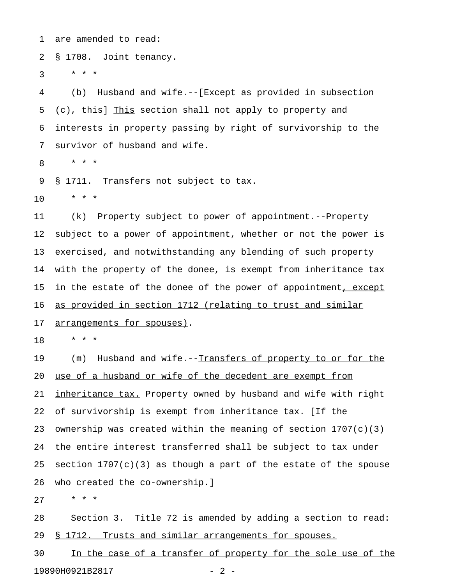1 are amended to read:

2 § 1708. Joint tenancy.

 $3 * * * *$ 

4 (b) Husband and wife.--[Except as provided in subsection 5 (c), this] This section shall not apply to property and \_\_\_\_ 6 interests in property passing by right of survivorship to the 7 survivor of husband and wife.

8 \* \* \*

9 § 1711. Transfers not subject to tax.

10 \* \* \*

11 (k) Property subject to power of appointment.--Property 12 subject to a power of appointment, whether or not the power is 13 exercised, and notwithstanding any blending of such property 14 with the property of the donee, is exempt from inheritance tax 15 in the estate of the donee of the power of appointment, except 16 as provided in section 1712 (relating to trust and similar 17 arrangements for spouses).

18 \* \* \*

19 (m) Husband and wife.--Transfers of property to or for the 20 use of a husband or wife of the decedent are exempt from 21 inheritance tax. Property owned by husband and wife with right 22 of survivorship is exempt from inheritance tax. [If the 23 ownership was created within the meaning of section  $1707(c)(3)$ 24 the entire interest transferred shall be subject to tax under 25 section  $1707(c)(3)$  as though a part of the estate of the spouse 26 who created the co-ownership.]

27 \* \* \*

28 Section 3. Title 72 is amended by adding a section to read: 29 § 1712. Trusts and similar arrangements for spouses.

30 In the case of a transfer of property for the sole use of the 19890H0921B2817 - 2 -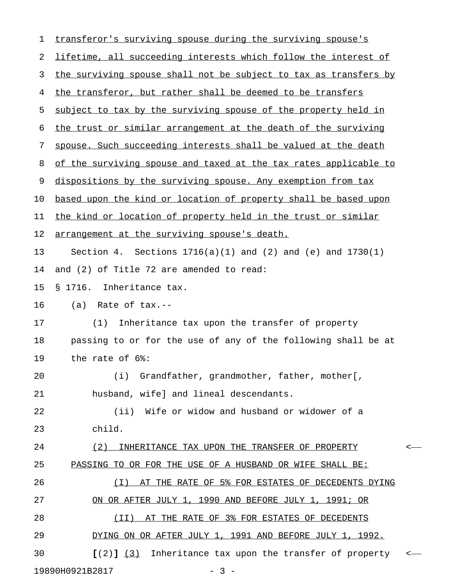| 1  | transferor's surviving spouse during the surviving spouse's             |
|----|-------------------------------------------------------------------------|
| 2  | lifetime, all succeeding interests which follow the interest of         |
| 3  | the surviving spouse shall not be subject to tax as transfers by        |
| 4  | the transferor, but rather shall be deemed to be transfers              |
| 5  | subject to tax by the surviving spouse of the property held in          |
| 6  | the trust or similar arrangement at the death of the surviving          |
| 7  | spouse. Such succeeding interests shall be valued at the death          |
| 8  | of the surviving spouse and taxed at the tax rates applicable to        |
| 9  | dispositions by the surviving spouse. Any exemption from tax            |
| 10 | based upon the kind or location of property shall be based upon         |
| 11 | the kind or location of property held in the trust or similar           |
| 12 | arrangement at the surviving spouse's death.                            |
| 13 | Sections $1716(a)(1)$ and $(2)$ and $(e)$ and $1730(1)$<br>Section 4.   |
| 14 | and (2) of Title 72 are amended to read:                                |
| 15 | Inheritance tax.<br>§ 1716.                                             |
| 16 | Rate of tax.--<br>(a)                                                   |
| 17 | Inheritance tax upon the transfer of property<br>(1)                    |
| 18 | passing to or for the use of any of the following shall be at           |
| 19 | the rate of 6%:                                                         |
| 20 | (i) Grandfather, grandmother, father, mother[,                          |
| 21 | husband, wife] and lineal descendants.                                  |
| 22 | (ii) Wife or widow and husband or widower of a                          |
| 23 | child.                                                                  |
| 24 | (2)<br>INHERITANCE TAX UPON THE TRANSFER OF PROPERTY<br>$\,<\,$         |
| 25 | PASSING TO OR FOR THE USE OF A HUSBAND OR WIFE SHALL BE:                |
| 26 | AT THE RATE OF 5% FOR ESTATES OF DECEDENTS DYING<br>( I )               |
| 27 | ON OR AFTER JULY 1, 1990 AND BEFORE JULY 1, 1991; OR                    |
| 28 | AT THE RATE OF 3% FOR ESTATES OF DECEDENTS<br>(II)                      |
| 29 | DYING ON OR AFTER JULY 1, 1991 AND BEFORE JULY 1, 1992.                 |
| 30 | Inheritance tax upon the transfer of property<br>$(2)$ $(3)$<br>$\,<\,$ |
|    | 19890H0921B2817<br>$-3-$                                                |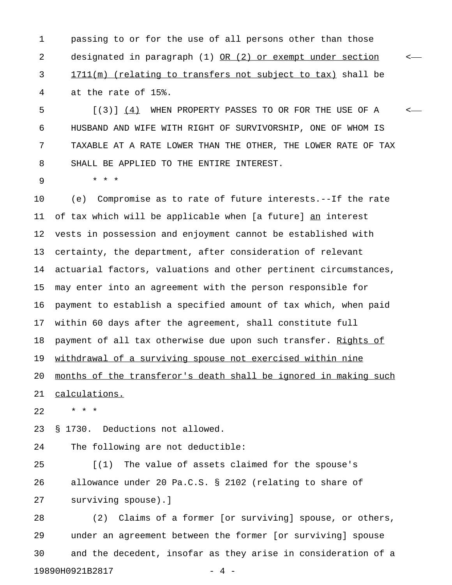1 passing to or for the use of all persons other than those 2 designated in paragraph (1) OR (2) or exempt under section  $\leftarrow$ 3 1711(m) (relating to transfers not subject to tax) shall be 4 at the rate of 15%.

5  $[(3)]$  (4) WHEN PROPERTY PASSES TO OR FOR THE USE OF A < 6 HUSBAND AND WIFE WITH RIGHT OF SURVIVORSHIP, ONE OF WHOM IS 7 TAXABLE AT A RATE LOWER THAN THE OTHER, THE LOWER RATE OF TAX 8 SHALL BE APPLIED TO THE ENTIRE INTEREST.

9 \* \* \*

10 (e) Compromise as to rate of future interests.--If the rate 11 of tax which will be applicable when [a future] an interest 12 vests in possession and enjoyment cannot be established with 13 certainty, the department, after consideration of relevant 14 actuarial factors, valuations and other pertinent circumstances, 15 may enter into an agreement with the person responsible for 16 payment to establish a specified amount of tax which, when paid 17 within 60 days after the agreement, shall constitute full 18 payment of all tax otherwise due upon such transfer. Rights of 19 withdrawal of a surviving spouse not exercised within nine 20 months of the transferor's death shall be ignored in making such 21 calculations.

22 \* \* \*

23 § 1730. Deductions not allowed.

24 The following are not deductible:

25 [(1) The value of assets claimed for the spouse's 26 allowance under 20 Pa.C.S. § 2102 (relating to share of 27 surviving spouse).]

28 (2) Claims of a former [or surviving] spouse, or others, 29 under an agreement between the former [or surviving] spouse 30 and the decedent, insofar as they arise in consideration of a 19890H0921B2817 - 4 -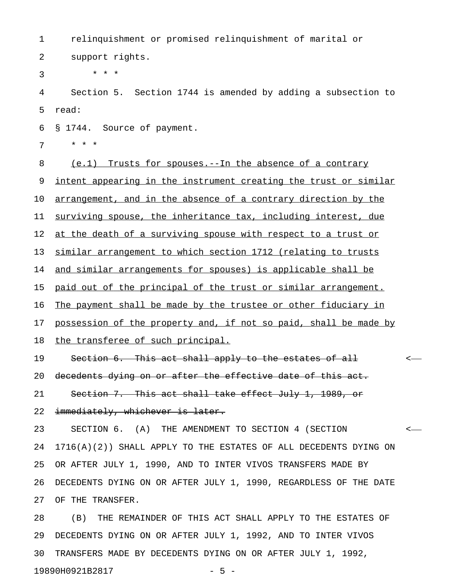1 relinquishment or promised relinquishment of marital or 2 support rights.

 $3 * * * *$ 

4 Section 5. Section 1744 is amended by adding a subsection to 5 read:

6 § 1744. Source of payment.

7 \* \* \*

8 (e.1) Trusts for spouses.--In the absence of a contrary 9 <u>intent appearing in the instrument creating the trust or similar</u> 10 arrangement, and in the absence of a contrary direction by the 11 surviving spouse, the inheritance tax, including interest, due 12 at the death of a surviving spouse with respect to a trust or 13 similar arrangement to which section 1712 (relating to trusts 14 and similar arrangements for spouses) is applicable shall be 15 paid out of the principal of the trust or similar arrangement. 16 The payment shall be made by the trustee or other fiduciary in 17 possession of the property and, if not so paid, shall be made by 18 the transferee of such principal. 19 Section 6. This act shall apply to the estates of all  $\sim$ 20 decedents dying on or after the effective date of this act. 21 Section 7. This act shall take effect July 1, 1989, or 22 immediately, whichever is later. 23 SECTION 6. (A) THE AMENDMENT TO SECTION 4 (SECTION < 24 1716(A)(2)) SHALL APPLY TO THE ESTATES OF ALL DECEDENTS DYING ON 25 OR AFTER JULY 1, 1990, AND TO INTER VIVOS TRANSFERS MADE BY 26 DECEDENTS DYING ON OR AFTER JULY 1, 1990, REGARDLESS OF THE DATE

27 OF THE TRANSFER.

28 (B) THE REMAINDER OF THIS ACT SHALL APPLY TO THE ESTATES OF 29 DECEDENTS DYING ON OR AFTER JULY 1, 1992, AND TO INTER VIVOS 30 TRANSFERS MADE BY DECEDENTS DYING ON OR AFTER JULY 1, 1992, 19890H0921B2817 - 5 -